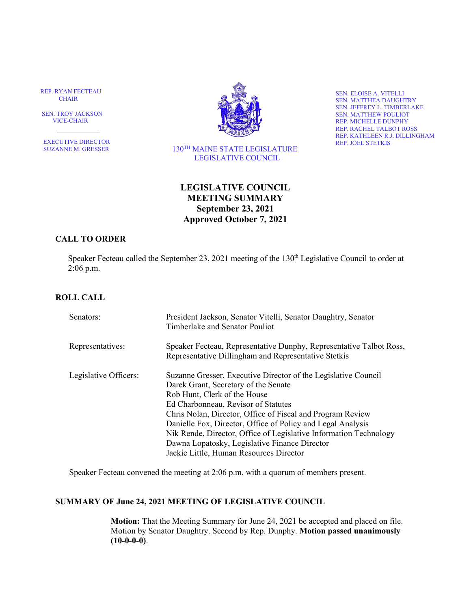REP. RYAN FECTEAU CHAIR

 SEN. TROY JACKSON VICE-CHAIR

٦ EXECUTIVE DIRECTOR SUZANNE M. GRESSER



 130TH MAINE STATE LEGISLATURE LEGISLATIVE COUNCIL

SEN. ELOISE A. VITELLI SEN. MATTHEA DAUGHTRY SEN. JEFFREY L. TIMBERLAKE SEN. MATTHEW POULIOT REP. MICHELLE DUNPHY REP. RACHEL TALBOT ROSS REP. KATHLEEN R.J. DILLINGHAM REP. JOEL STETKIS

# **LEGISLATIVE COUNCIL MEETING SUMMARY September 23, 2021 Approved October 7, 2021**

## **CALL TO ORDER**

Speaker Fecteau called the September 23, 2021 meeting of the 130<sup>th</sup> Legislative Council to order at 2:06 p.m.

# **ROLL CALL**

| Senators:             | President Jackson, Senator Vitelli, Senator Daughtry, Senator<br>Timberlake and Senator Pouliot                                                                                                                                                                                                                                                                                                                                                                             |
|-----------------------|-----------------------------------------------------------------------------------------------------------------------------------------------------------------------------------------------------------------------------------------------------------------------------------------------------------------------------------------------------------------------------------------------------------------------------------------------------------------------------|
| Representatives:      | Speaker Fecteau, Representative Dunphy, Representative Talbot Ross,<br>Representative Dillingham and Representative Stetkis                                                                                                                                                                                                                                                                                                                                                 |
| Legislative Officers: | Suzanne Gresser, Executive Director of the Legislative Council<br>Darek Grant, Secretary of the Senate<br>Rob Hunt, Clerk of the House<br>Ed Charbonneau, Revisor of Statutes<br>Chris Nolan, Director, Office of Fiscal and Program Review<br>Danielle Fox, Director, Office of Policy and Legal Analysis<br>Nik Rende, Director, Office of Legislative Information Technology<br>Dawna Lopatosky, Legislative Finance Director<br>Jackie Little, Human Resources Director |

Speaker Fecteau convened the meeting at 2:06 p.m. with a quorum of members present.

### **SUMMARY OF June 24, 2021 MEETING OF LEGISLATIVE COUNCIL**

**Motion:** That the Meeting Summary for June 24, 2021 be accepted and placed on file. Motion by Senator Daughtry. Second by Rep. Dunphy. **Motion passed unanimously (10-0-0-0)**.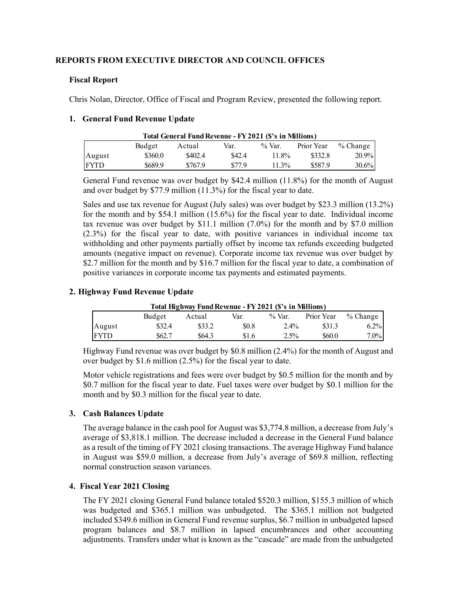## **REPORTS FROM EXECUTIVE DIRECTOR AND COUNCIL OFFICES**

## **Fiscal Report**

Chris Nolan, Director, Office of Fiscal and Program Review, presented the following report.

## **1. General Fund Revenue Update**

|             |         | Total General Fund Revenue - FY 2021 (\$'s in Millions) |        |           |            |            |
|-------------|---------|---------------------------------------------------------|--------|-----------|------------|------------|
|             | Budget  | Actual                                                  | Var.   | $\%$ Var. | Prior Year | $%$ Change |
| August      | \$360.0 | \$402.4                                                 | \$42.4 | 11.8%     | \$332.8    | $20.9\%$   |
| <b>FYTD</b> | \$689.9 | \$767.9                                                 | \$77.9 | $11.3\%$  | \$587.9    | 30.6%      |

General Fund revenue was over budget by \$42.4 million (11.8%) for the month of August and over budget by \$77.9 million (11.3%) for the fiscal year to date.

Sales and use tax revenue for August (July sales) was over budget by \$23.3 million (13.2%) for the month and by \$54.1 million (15.6%) for the fiscal year to date. Individual income tax revenue was over budget by \$11.1 million (7.0%) for the month and by \$7.0 million (2.3%) for the fiscal year to date, with positive variances in individual income tax withholding and other payments partially offset by income tax refunds exceeding budgeted amounts (negative impact on revenue). Corporate income tax revenue was over budget by \$2.7 million for the month and by \$16.7 million for the fiscal year to date, a combination of positive variances in corporate income tax payments and estimated payments.

## **2. Highway Fund Revenue Update**

| Total Highway Fund Revenue - FY 2021 (\$'s in Millions) |        |        |       |           |            |            |
|---------------------------------------------------------|--------|--------|-------|-----------|------------|------------|
|                                                         | Budget | Actual | Var.  | $\%$ Var. | Prior Year | $%$ Change |
| August                                                  | \$32.4 | \$33.2 | \$0.8 | 2.4%      | \$31.3     | $6.2\%$    |
| <b>FYTD</b>                                             | \$62.7 | \$64.3 | \$1.6 | $2.5\%$   | \$60.0     | $7.0\%$    |

Highway Fund revenue was over budget by \$0.8 million (2.4%) for the month of August and over budget by \$1.6 million (2.5%) for the fiscal year to date.

Motor vehicle registrations and fees were over budget by \$0.5 million for the month and by \$0.7 million for the fiscal year to date. Fuel taxes were over budget by \$0.1 million for the month and by \$0.3 million for the fiscal year to date.

## **3. Cash Balances Update**

The average balance in the cash pool for August was \$3,774.8 million, a decrease from July's average of \$3,818.1 million. The decrease included a decrease in the General Fund balance as a result of the timing of FY 2021 closing transactions. The average Highway Fund balance in August was \$59.0 million, a decrease from July's average of \$69.8 million, reflecting normal construction season variances.

## **4. Fiscal Year 2021 Closing**

The FY 2021 closing General Fund balance totaled \$520.3 million, \$155.3 million of which was budgeted and \$365.1 million was unbudgeted. The \$365.1 million not budgeted included \$349.6 million in General Fund revenue surplus, \$6.7 million in unbudgeted lapsed program balances and \$8.7 million in lapsed encumbrances and other accounting adjustments. Transfers under what is known as the "cascade" are made from the unbudgeted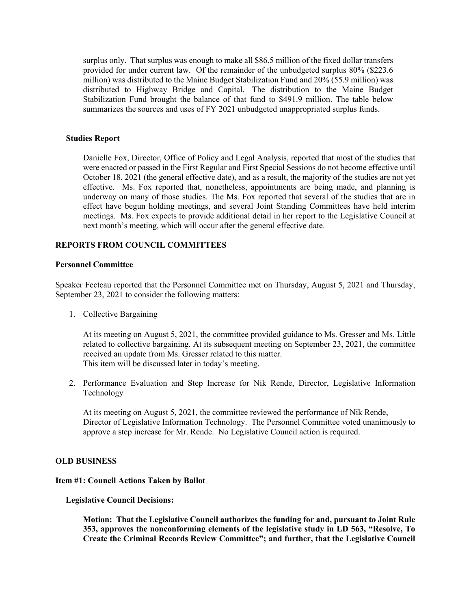surplus only. That surplus was enough to make all \$86.5 million of the fixed dollar transfers provided for under current law. Of the remainder of the unbudgeted surplus 80% (\$223.6 million) was distributed to the Maine Budget Stabilization Fund and 20% (55.9 million) was distributed to Highway Bridge and Capital. The distribution to the Maine Budget Stabilization Fund brought the balance of that fund to \$491.9 million. The table below summarizes the sources and uses of FY 2021 unbudgeted unappropriated surplus funds.

#### **Studies Report**

Danielle Fox, Director, Office of Policy and Legal Analysis, reported that most of the studies that were enacted or passed in the First Regular and First Special Sessions do not become effective until October 18, 2021 (the general effective date), and as a result, the majority of the studies are not yet effective. Ms. Fox reported that, nonetheless, appointments are being made, and planning is underway on many of those studies. The Ms. Fox reported that several of the studies that are in effect have begun holding meetings, and several Joint Standing Committees have held interim meetings. Ms. Fox expects to provide additional detail in her report to the Legislative Council at next month's meeting, which will occur after the general effective date.

## **REPORTS FROM COUNCIL COMMITTEES**

### **Personnel Committee**

Speaker Fecteau reported that the Personnel Committee met on Thursday, August 5, 2021 and Thursday, September 23, 2021 to consider the following matters:

1. Collective Bargaining

At its meeting on August 5, 2021, the committee provided guidance to Ms. Gresser and Ms. Little related to collective bargaining. At its subsequent meeting on September 23, 2021, the committee received an update from Ms. Gresser related to this matter. This item will be discussed later in today's meeting.

2. Performance Evaluation and Step Increase for Nik Rende, Director, Legislative Information Technology

At its meeting on August 5, 2021, the committee reviewed the performance of Nik Rende, Director of Legislative Information Technology. The Personnel Committee voted unanimously to approve a step increase for Mr. Rende. No Legislative Council action is required.

#### **OLD BUSINESS**

#### **Item #1: Council Actions Taken by Ballot**

### **Legislative Council Decisions:**

**Motion: That the Legislative Council authorizes the funding for and, pursuant to Joint Rule 353, approves the nonconforming elements of the legislative study in LD 563, "Resolve, To Create the Criminal Records Review Committee"; and further, that the Legislative Council**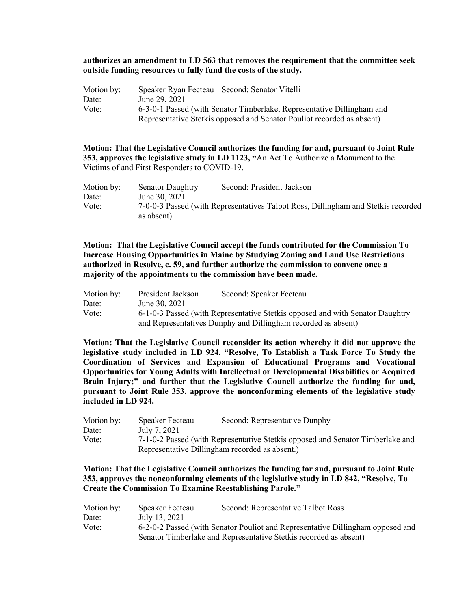### **authorizes an amendment to LD 563 that removes the requirement that the committee seek outside funding resources to fully fund the costs of the study.**

| Motion by: | Speaker Ryan Fecteau Second: Senator Vitelli                           |
|------------|------------------------------------------------------------------------|
| Date:      | June 29, 2021                                                          |
| Vote:      | 6-3-0-1 Passed (with Senator Timberlake, Representative Dillingham and |
|            | Representative Stetkis opposed and Senator Pouliot recorded as absent) |

**Motion: That the Legislative Council authorizes the funding for and, pursuant to Joint Rule 353, approves the legislative study in LD 1123, "**An Act To Authorize a Monument to the Victims of and First Responders to COVID-19.

| Motion by: | <b>Senator Daughtry</b> | Second: President Jackson                                                         |
|------------|-------------------------|-----------------------------------------------------------------------------------|
| Date:      | June 30, 2021           |                                                                                   |
| Vote:      | as absent)              | 7-0-0-3 Passed (with Representatives Talbot Ross, Dillingham and Stetkis recorded |

**Motion: That the Legislative Council accept the funds contributed for the Commission To Increase Housing Opportunities in Maine by Studying Zoning and Land Use Restrictions authorized in Resolve, c. 59, and further authorize the commission to convene once a majority of the appointments to the commission have been made.**

| Motion by: | President Jackson | Second: Speaker Fecteau                                                       |
|------------|-------------------|-------------------------------------------------------------------------------|
| Date:      | June 30, 2021     |                                                                               |
| Vote:      |                   | 6-1-0-3 Passed (with Representative Stetkis opposed and with Senator Daughtry |
|            |                   | and Representatives Dunphy and Dillingham recorded as absent)                 |

**Motion: That the Legislative Council reconsider its action whereby it did not approve the legislative study included in LD 924, "Resolve, To Establish a Task Force To Study the Coordination of Services and Expansion of Educational Programs and Vocational Opportunities for Young Adults with Intellectual or Developmental Disabilities or Acquired Brain Injury;" and further that the Legislative Council authorize the funding for and, pursuant to Joint Rule 353, approve the nonconforming elements of the legislative study included in LD 924.** 

| Motion by: | Speaker Fecteau | Second: Representative Dunphy                                                  |
|------------|-----------------|--------------------------------------------------------------------------------|
| Date:      | July 7, 2021    |                                                                                |
| Vote:      |                 | 7-1-0-2 Passed (with Representative Stetkis opposed and Senator Timberlake and |
|            |                 | Representative Dillingham recorded as absent.)                                 |

### **Motion: That the Legislative Council authorizes the funding for and, pursuant to Joint Rule 353, approves the nonconforming elements of the legislative study in LD 842, "Resolve, To Create the Commission To Examine Reestablishing Parole."**

| Motion by: | Speaker Fecteau | Second: Representative Talbot Ross                                             |
|------------|-----------------|--------------------------------------------------------------------------------|
| Date:      | July 13, 2021   |                                                                                |
| Vote:      |                 | 6-2-0-2 Passed (with Senator Pouliot and Representative Dillingham opposed and |
|            |                 | Senator Timberlake and Representative Stetkis recorded as absent)              |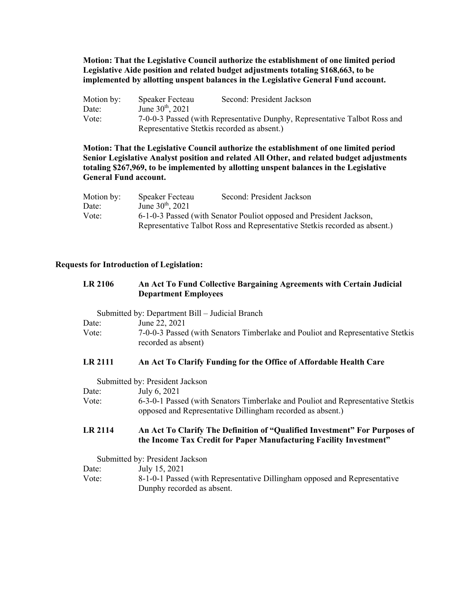**Motion: That the Legislative Council authorize the establishment of one limited period Legislative Aide position and related budget adjustments totaling \$168,663, to be implemented by allotting unspent balances in the Legislative General Fund account.** 

| Motion by: | Speaker Fecteau       | Second: President Jackson                                                  |
|------------|-----------------------|----------------------------------------------------------------------------|
| Date:      | June $30^{th}$ , 2021 |                                                                            |
| Vote:      |                       | 7-0-0-3 Passed (with Representative Dunphy, Representative Talbot Ross and |
|            |                       | Representative Stetkis recorded as absent.)                                |

**Motion: That the Legislative Council authorize the establishment of one limited period Senior Legislative Analyst position and related All Other, and related budget adjustments totaling \$267,969, to be implemented by allotting unspent balances in the Legislative General Fund account.** 

| Motion by: | Speaker Fecteau              | Second: President Jackson                                                  |
|------------|------------------------------|----------------------------------------------------------------------------|
| Date:      | June $30^{\text{th}}$ , 2021 |                                                                            |
| Vote:      |                              | 6-1-0-3 Passed (with Senator Pouliot opposed and President Jackson,        |
|            |                              | Representative Talbot Ross and Representative Stetkis recorded as absent.) |

#### **Requests for Introduction of Legislation:**

| <b>LR 2106</b> | An Act To Fund Collective Bargaining Agreements with Certain Judicial |
|----------------|-----------------------------------------------------------------------|
|                | <b>Department Employees</b>                                           |

Submitted by: Department Bill – Judicial Branch

| Date: | June 22, 2021                                                                   |
|-------|---------------------------------------------------------------------------------|
| Vote: | 7-0-0-3 Passed (with Senators Timberlake and Pouliot and Representative Stetkis |
|       | recorded as absent)                                                             |

#### **LR 2111 An Act To Clarify Funding for the Office of Affordable Health Care**

Submitted by: President Jackson

| Date: | July 6, 2021                                                                    |
|-------|---------------------------------------------------------------------------------|
| Vote: | 6-3-0-1 Passed (with Senators Timberlake and Pouliot and Representative Stetkis |
|       | opposed and Representative Dillingham recorded as absent.)                      |

#### **LR 2114 An Act To Clarify The Definition of "Qualified Investment" For Purposes of the Income Tax Credit for Paper Manufacturing Facility Investment"**

Submitted by: President Jackson

Date: July 15, 2021 Vote: 8-1-0-1 Passed (with Representative Dillingham opposed and Representative Dunphy recorded as absent.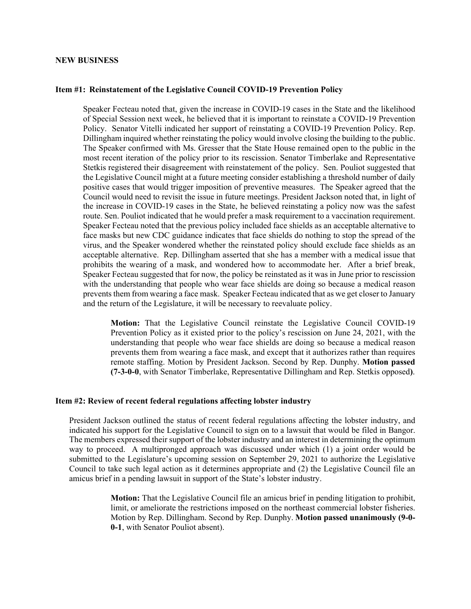#### **NEW BUSINESS**

#### **Item #1: Reinstatement of the Legislative Council COVID-19 Prevention Policy**

Speaker Fecteau noted that, given the increase in COVID-19 cases in the State and the likelihood of Special Session next week, he believed that it is important to reinstate a COVID-19 Prevention Policy. Senator Vitelli indicated her support of reinstating a COVID-19 Prevention Policy. Rep. Dillingham inquired whether reinstating the policy would involve closing the building to the public. The Speaker confirmed with Ms. Gresser that the State House remained open to the public in the most recent iteration of the policy prior to its rescission. Senator Timberlake and Representative Stetkis registered their disagreement with reinstatement of the policy. Sen. Pouliot suggested that the Legislative Council might at a future meeting consider establishing a threshold number of daily positive cases that would trigger imposition of preventive measures. The Speaker agreed that the Council would need to revisit the issue in future meetings. President Jackson noted that, in light of the increase in COVID-19 cases in the State, he believed reinstating a policy now was the safest route. Sen. Pouliot indicated that he would prefer a mask requirement to a vaccination requirement. Speaker Fecteau noted that the previous policy included face shields as an acceptable alternative to face masks but new CDC guidance indicates that face shields do nothing to stop the spread of the virus, and the Speaker wondered whether the reinstated policy should exclude face shields as an acceptable alternative. Rep. Dillingham asserted that she has a member with a medical issue that prohibits the wearing of a mask, and wondered how to accommodate her. After a brief break, Speaker Fecteau suggested that for now, the policy be reinstated as it was in June prior to rescission with the understanding that people who wear face shields are doing so because a medical reason prevents them from wearing a face mask. Speaker Fecteau indicated that as we get closer to January and the return of the Legislature, it will be necessary to reevaluate policy.

**Motion:** That the Legislative Council reinstate the Legislative Council COVID-19 Prevention Policy as it existed prior to the policy's rescission on June 24, 2021, with the understanding that people who wear face shields are doing so because a medical reason prevents them from wearing a face mask, and except that it authorizes rather than requires remote staffing. Motion by President Jackson. Second by Rep. Dunphy. **Motion passed (7-3-0-0**, with Senator Timberlake, Representative Dillingham and Rep. Stetkis opposed**)**.

#### **Item #2: Review of recent federal regulations affecting lobster industry**

President Jackson outlined the status of recent federal regulations affecting the lobster industry, and indicated his support for the Legislative Council to sign on to a lawsuit that would be filed in Bangor. The members expressed their support of the lobster industry and an interest in determining the optimum way to proceed. A multipronged approach was discussed under which (1) a joint order would be submitted to the Legislature's upcoming session on September 29, 2021 to authorize the Legislative Council to take such legal action as it determines appropriate and (2) the Legislative Council file an amicus brief in a pending lawsuit in support of the State's lobster industry.

> **Motion:** That the Legislative Council file an amicus brief in pending litigation to prohibit, limit, or ameliorate the restrictions imposed on the northeast commercial lobster fisheries. Motion by Rep. Dillingham. Second by Rep. Dunphy. **Motion passed unanimously (9-0- 0-1**, with Senator Pouliot absent).